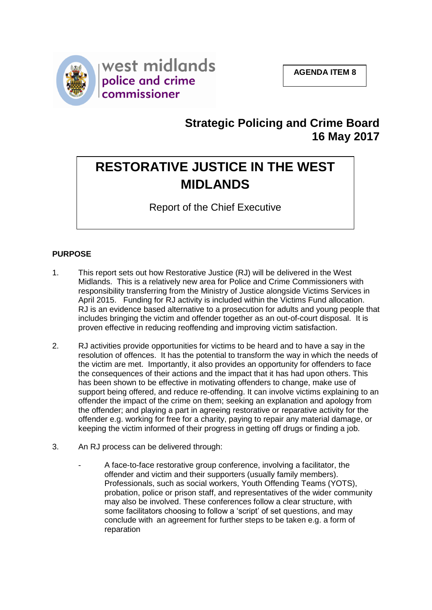

## **Strategic Policing and Crime Board 16 May 2017**

# **RESTORATIVE JUSTICE IN THE WEST MIDLANDS**

Report of the Chief Executive

### **PURPOSE**

- 1. This report sets out how Restorative Justice (RJ) will be delivered in the West Midlands. This is a relatively new area for Police and Crime Commissioners with responsibility transferring from the Ministry of Justice alongside Victims Services in April 2015. Funding for RJ activity is included within the Victims Fund allocation. RJ is an evidence based alternative to a prosecution for adults and young people that includes bringing the victim and offender together as an out-of-court disposal. It is proven effective in reducing reoffending and improving victim satisfaction.
- 2. RJ activities provide opportunities for victims to be heard and to have a say in the resolution of offences. It has the potential to transform the way in which the needs of the victim are met. Importantly, it also provides an opportunity for offenders to face the consequences of their actions and the impact that it has had upon others. This has been shown to be effective in motivating offenders to change, make use of support being offered, and reduce re-offending. It can involve victims explaining to an offender the impact of the crime on them; seeking an explanation and apology from the offender; and playing a part in agreeing restorative or reparative activity for the offender e.g. working for free for a charity, paying to repair any material damage, or keeping the victim informed of their progress in getting off drugs or finding a job.
- 3. An RJ process can be delivered through:
	- A face-to-face restorative group conference, involving a facilitator, the offender and victim and their supporters (usually family members). Professionals, such as social workers, Youth Offending Teams (YOTS), probation, police or prison staff, and representatives of the wider community may also be involved. These conferences follow a clear structure, with some facilitators choosing to follow a 'script' of set questions, and may conclude with an agreement for further steps to be taken e.g. a form of reparation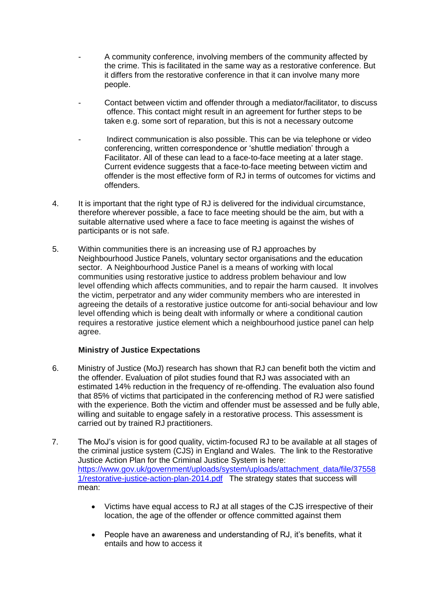- A community conference, involving members of the community affected by the crime. This is facilitated in the same way as a restorative conference. But it differs from the restorative conference in that it can involve many more people.
- Contact between victim and offender through a mediator/facilitator, to discuss offence. This contact might result in an agreement for further steps to be taken e.g. some sort of reparation, but this is not a necessary outcome
- Indirect communication is also possible. This can be via telephone or video conferencing, written correspondence or 'shuttle mediation' through a Facilitator. All of these can lead to a face-to-face meeting at a later stage. Current evidence suggests that a face-to-face meeting between victim and offender is the most effective form of RJ in terms of outcomes for victims and offenders.
- 4. It is important that the right type of RJ is delivered for the individual circumstance, therefore wherever possible, a face to face meeting should be the aim, but with a suitable alternative used where a face to face meeting is against the wishes of participants or is not safe.
- 5. Within communities there is an increasing use of RJ approaches by Neighbourhood Justice Panels, voluntary sector organisations and the education sector. A Neighbourhood Justice Panel is a means of working with local communities using restorative justice to address problem behaviour and low level offending which affects communities, and to repair the harm caused. It involves the victim, perpetrator and any wider community members who are interested in agreeing the details of a restorative justice outcome for anti-social behaviour and low level offending which is being dealt with informally or where a conditional caution requires a restorative justice element which a neighbourhood justice panel can help agree.

#### **Ministry of Justice Expectations**

- 6. Ministry of Justice (MoJ) research has shown that RJ can benefit both the victim and the offender. Evaluation of pilot studies found that RJ was associated with an estimated 14% reduction in the frequency of re-offending. The evaluation also found that 85% of victims that participated in the conferencing method of RJ were satisfied with the experience. Both the victim and offender must be assessed and be fully able, willing and suitable to engage safely in a restorative process. This assessment is carried out by trained RJ practitioners.
- 7. The MoJ's vision is for good quality, victim-focused RJ to be available at all stages of the criminal justice system (CJS) in England and Wales. The link to the Restorative Justice Action Plan for the Criminal Justice System is here: [https://www.gov.uk/government/uploads/system/uploads/attachment\\_data/file/37558](https://www.gov.uk/government/uploads/system/uploads/attachment_data/file/375581/restorative-justice-action-plan-2014.pdf) [1/restorative-justice-action-plan-2014.pdf](https://www.gov.uk/government/uploads/system/uploads/attachment_data/file/375581/restorative-justice-action-plan-2014.pdf) The strategy states that success will mean:
	- Victims have equal access to RJ at all stages of the CJS irrespective of their location, the age of the offender or offence committed against them
	- People have an awareness and understanding of RJ, it's benefits, what it entails and how to access it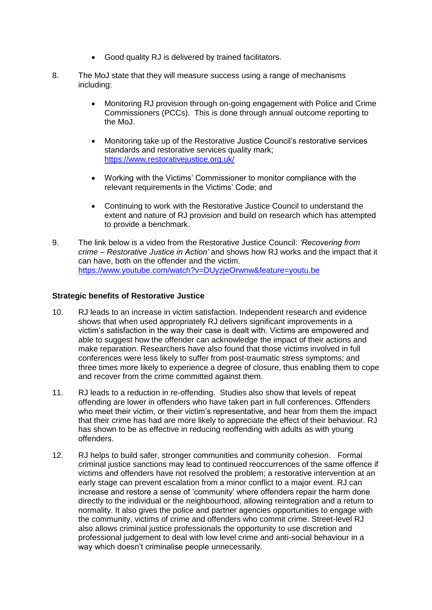- Good quality RJ is delivered by trained facilitators.
- 8. The MoJ state that they will measure success using a range of mechanisms including:
	- Monitoring RJ provision through on-going engagement with Police and Crime Commissioners (PCCs). This is done through annual outcome reporting to the MoJ.
	- Monitoring take up of the Restorative Justice Council's restorative services standards and restorative services quality mark; <https://www.restorativejustice.org.uk/>
	- Working with the Victims' Commissioner to monitor compliance with the relevant requirements in the Victims' Code; and
	- Continuing to work with the Restorative Justice Council to understand the extent and nature of RJ provision and build on research which has attempted to provide a benchmark.
- 9. The link below is a video from the Restorative Justice Council: *'Recovering from crime – Restorative Justice in Action'* and shows how RJ works and the impact that it can have, both on the offender and the victim. <https://www.youtube.com/watch?v=DUyzjeOrwnw&feature=youtu.be>

#### **Strategic benefits of Restorative Justice**

- 10. RJ leads to an increase in victim satisfaction. Independent research and evidence shows that when used appropriately RJ delivers significant improvements in a victim's satisfaction in the way their case is dealt with. Victims are empowered and able to suggest how the offender can acknowledge the impact of their actions and make reparation. Researchers have also found that those victims involved in full conferences were less likely to suffer from post-traumatic stress symptoms; and three times more likely to experience a degree of closure, thus enabling them to cope and recover from the crime committed against them.
- 11. RJ leads to a reduction in re-offending. Studies also show that levels of repeat offending are lower in offenders who have taken part in full conferences. Offenders who meet their victim, or their victim's representative, and hear from them the impact that their crime has had are more likely to appreciate the effect of their behaviour. RJ has shown to be as effective in reducing reoffending with adults as with young offenders.
- 12. RJ helps to build safer, stronger communities and community cohesion. Formal criminal justice sanctions may lead to continued reoccurrences of the same offence if victims and offenders have not resolved the problem; a restorative intervention at an early stage can prevent escalation from a minor conflict to a major event. RJ can increase and restore a sense of 'community' where offenders repair the harm done directly to the individual or the neighbourhood, allowing reintegration and a return to normality. It also gives the police and partner agencies opportunities to engage with the community, victims of crime and offenders who commit crime. Street-level RJ also allows criminal justice professionals the opportunity to use discretion and professional judgement to deal with low level crime and anti-social behaviour in a way which doesn't criminalise people unnecessarily.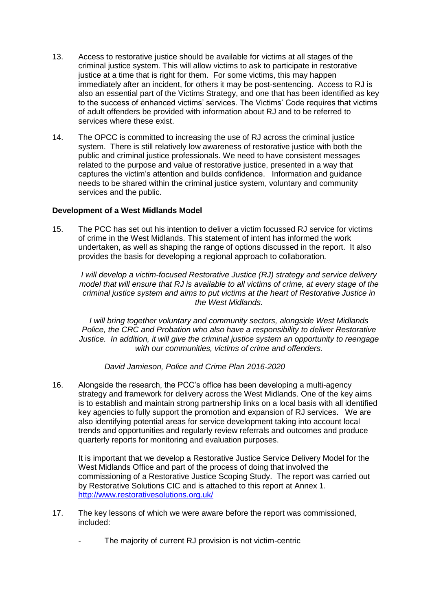- 13. Access to restorative justice should be available for victims at all stages of the criminal justice system. This will allow victims to ask to participate in restorative justice at a time that is right for them. For some victims, this may happen immediately after an incident, for others it may be post-sentencing. Access to RJ is also an essential part of the Victims Strategy, and one that has been identified as key to the success of enhanced victims' services. The Victims' Code requires that victims of adult offenders be provided with information about RJ and to be referred to services where these exist.
- 14. The OPCC is committed to increasing the use of RJ across the criminal justice system. There is still relatively low awareness of restorative justice with both the public and criminal justice professionals. We need to have consistent messages related to the purpose and value of restorative justice, presented in a way that captures the victim's attention and builds confidence. Information and guidance needs to be shared within the criminal justice system, voluntary and community services and the public.

#### **Development of a West Midlands Model**

15. The PCC has set out his intention to deliver a victim focussed RJ service for victims of crime in the West Midlands. This statement of intent has informed the work undertaken, as well as shaping the range of options discussed in the report. It also provides the basis for developing a regional approach to collaboration.

*I will develop a victim-focused Restorative Justice (RJ) strategy and service delivery model that will ensure that RJ is available to all victims of crime, at every stage of the criminal justice system and aims to put victims at the heart of Restorative Justice in the West Midlands.*

*I will bring together voluntary and community sectors, alongside West Midlands Police, the CRC and Probation who also have a responsibility to deliver Restorative Justice. In addition, it will give the criminal justice system an opportunity to reengage with our communities, victims of crime and offenders.*

#### *David Jamieson, Police and Crime Plan 2016-2020*

16. Alongside the research, the PCC's office has been developing a multi-agency strategy and framework for delivery across the West Midlands. One of the key aims is to establish and maintain strong partnership links on a local basis with all identified key agencies to fully support the promotion and expansion of RJ services. We are also identifying potential areas for service development taking into account local trends and opportunities and regularly review referrals and outcomes and produce quarterly reports for monitoring and evaluation purposes.

It is important that we develop a Restorative Justice Service Delivery Model for the West Midlands Office and part of the process of doing that involved the commissioning of a Restorative Justice Scoping Study. The report was carried out by Restorative Solutions CIC and is attached to this report at Annex 1. <http://www.restorativesolutions.org.uk/>

- 17. The key lessons of which we were aware before the report was commissioned, included:
	- The majority of current RJ provision is not victim-centric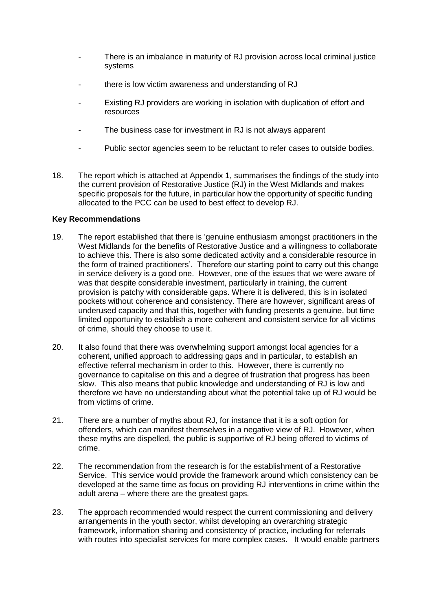- There is an imbalance in maturity of RJ provision across local criminal justice systems
- there is low victim awareness and understanding of RJ
- Existing RJ providers are working in isolation with duplication of effort and resources
- The business case for investment in RJ is not always apparent
- Public sector agencies seem to be reluctant to refer cases to outside bodies.
- 18. The report which is attached at Appendix 1, summarises the findings of the study into the current provision of Restorative Justice (RJ) in the West Midlands and makes specific proposals for the future, in particular how the opportunity of specific funding allocated to the PCC can be used to best effect to develop RJ.

#### **Key Recommendations**

- 19. The report established that there is 'genuine enthusiasm amongst practitioners in the West Midlands for the benefits of Restorative Justice and a willingness to collaborate to achieve this. There is also some dedicated activity and a considerable resource in the form of trained practitioners'. Therefore our starting point to carry out this change in service delivery is a good one. However, one of the issues that we were aware of was that despite considerable investment, particularly in training, the current provision is patchy with considerable gaps. Where it is delivered, this is in isolated pockets without coherence and consistency. There are however, significant areas of underused capacity and that this, together with funding presents a genuine, but time limited opportunity to establish a more coherent and consistent service for all victims of crime, should they choose to use it.
- 20. It also found that there was overwhelming support amongst local agencies for a coherent, unified approach to addressing gaps and in particular, to establish an effective referral mechanism in order to this. However, there is currently no governance to capitalise on this and a degree of frustration that progress has been slow. This also means that public knowledge and understanding of RJ is low and therefore we have no understanding about what the potential take up of RJ would be from victims of crime.
- 21. There are a number of myths about RJ, for instance that it is a soft option for offenders, which can manifest themselves in a negative view of RJ. However, when these myths are dispelled, the public is supportive of RJ being offered to victims of crime.
- 22. The recommendation from the research is for the establishment of a Restorative Service. This service would provide the framework around which consistency can be developed at the same time as focus on providing RJ interventions in crime within the adult arena – where there are the greatest gaps.
- 23. The approach recommended would respect the current commissioning and delivery arrangements in the youth sector, whilst developing an overarching strategic framework, information sharing and consistency of practice, including for referrals with routes into specialist services for more complex cases. It would enable partners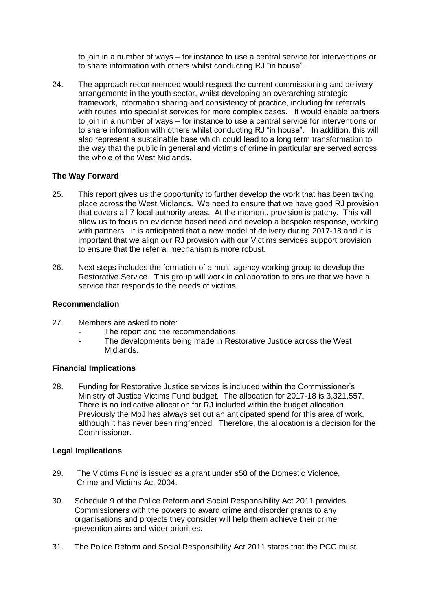to join in a number of ways – for instance to use a central service for interventions or to share information with others whilst conducting RJ "in house".

24. The approach recommended would respect the current commissioning and delivery arrangements in the youth sector, whilst developing an overarching strategic framework, information sharing and consistency of practice, including for referrals with routes into specialist services for more complex cases. It would enable partners to join in a number of ways – for instance to use a central service for interventions or to share information with others whilst conducting RJ "in house". In addition, this will also represent a sustainable base which could lead to a long term transformation to the way that the public in general and victims of crime in particular are served across the whole of the West Midlands.

#### **The Way Forward**

- 25. This report gives us the opportunity to further develop the work that has been taking place across the West Midlands. We need to ensure that we have good RJ provision that covers all 7 local authority areas. At the moment, provision is patchy. This will allow us to focus on evidence based need and develop a bespoke response, working with partners. It is anticipated that a new model of delivery during 2017-18 and it is important that we align our RJ provision with our Victims services support provision to ensure that the referral mechanism is more robust.
- 26. Next steps includes the formation of a multi-agency working group to develop the Restorative Service. This group will work in collaboration to ensure that we have a service that responds to the needs of victims.

#### **Recommendation**

- 27. Members are asked to note:
	- The report and the recommendations
	- The developments being made in Restorative Justice across the West Midlands.

#### **Financial Implications**

28. Funding for Restorative Justice services is included within the Commissioner's Ministry of Justice Victims Fund budget. The allocation for 2017-18 is 3,321,557. There is no indicative allocation for RJ included within the budget allocation. Previously the MoJ has always set out an anticipated spend for this area of work, although it has never been ringfenced. Therefore, the allocation is a decision for the Commissioner.

#### **Legal Implications**

- 29. The Victims Fund is issued as a grant under s58 of the Domestic Violence, Crime and Victims Act 2004.
- 30. Schedule 9 of the Police Reform and Social Responsibility Act 2011 provides Commissioners with the powers to award crime and disorder grants to any organisations and projects they consider will help them achieve their crime  **-**prevention aims and wider priorities.
- 31. The Police Reform and Social Responsibility Act 2011 states that the PCC must